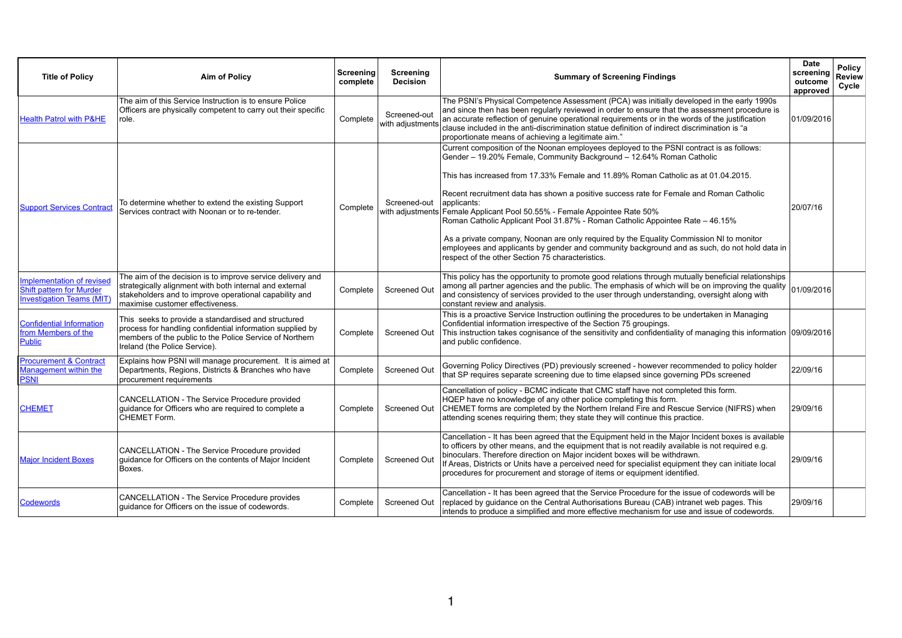| <b>Title of Policy</b>                                                                           | <b>Aim of Policy</b>                                                                                                                                                                                                | Screening<br>complete | <b>Screening</b><br><b>Decision</b> | <b>Summary of Screening Findings</b>                                                                                                                                                                                                                                                                                                                                                                                                                                                                                                                                                                                                                                                                                                                                         | <b>Date</b><br>screening<br>outcome<br>approved | <b>Policy</b><br><b>Review</b><br>Cycle |
|--------------------------------------------------------------------------------------------------|---------------------------------------------------------------------------------------------------------------------------------------------------------------------------------------------------------------------|-----------------------|-------------------------------------|------------------------------------------------------------------------------------------------------------------------------------------------------------------------------------------------------------------------------------------------------------------------------------------------------------------------------------------------------------------------------------------------------------------------------------------------------------------------------------------------------------------------------------------------------------------------------------------------------------------------------------------------------------------------------------------------------------------------------------------------------------------------------|-------------------------------------------------|-----------------------------------------|
| <b>Health Patrol with P&amp;HE</b>                                                               | The aim of this Service Instruction is to ensure Police<br>Officers are physically competent to carry out their specific<br>role.                                                                                   | Complete              | Screened-out<br>with adjustments    | The PSNI's Physical Competence Assessment (PCA) was initially developed in the early 1990s<br>and since then has been regularly reviewed in order to ensure that the assessment procedure is<br>an accurate reflection of genuine operational requirements or in the words of the justification<br>clause included in the anti-discrimination statue definition of indirect discrimination is "a<br>proportionate means of achieving a legitimate aim."                                                                                                                                                                                                                                                                                                                      | 01/09/2016                                      |                                         |
| <b>Support Services Contract</b>                                                                 | To determine whether to extend the existing Support<br>Services contract with Noonan or to re-tender.                                                                                                               | Complete              | Screened-out                        | Current composition of the Noonan employees deployed to the PSNI contract is as follows:<br>Gender – 19.20% Female, Community Background – 12.64% Roman Catholic<br>This has increased from 17.33% Female and 11.89% Roman Catholic as at 01.04.2015.<br>Recent recruitment data has shown a positive success rate for Female and Roman Catholic<br>applicants:<br>with adjustments Female Applicant Pool 50.55% - Female Appointee Rate 50%<br>Roman Catholic Applicant Pool 31.87% - Roman Catholic Appointee Rate – 46.15%<br>As a private company, Noonan are only required by the Equality Commission NI to monitor<br>employees and applicants by gender and community background and as such, do not hold data in<br>respect of the other Section 75 characteristics. | 20/07/16                                        |                                         |
| Implementation of revised<br><b>Shift pattern for Murder</b><br><b>Investigation Teams (MIT)</b> | The aim of the decision is to improve service delivery and<br>strategically alignment with both internal and external<br>stakeholders and to improve operational capability and<br>maximise customer effectiveness. | Complete              | <b>Screened Out</b>                 | This policy has the opportunity to promote good relations through mutually beneficial relationships<br>among all partner agencies and the public. The emphasis of which will be on improving the quality $ 01/09/2016 $<br>and consistency of services provided to the user through understanding, oversight along with<br>constant review and analysis.                                                                                                                                                                                                                                                                                                                                                                                                                     |                                                 |                                         |
| <b>Confidential Information</b><br>from Members of the<br><b>Public</b>                          | This seeks to provide a standardised and structured<br>process for handling confidential information supplied by<br>members of the public to the Police Service of Northern<br>Ireland (the Police Service).        | Complete              | <b>Screened Out</b>                 | This is a proactive Service Instruction outlining the procedures to be undertaken in Managing<br>Confidential information irrespective of the Section 75 groupings.<br>This instruction takes cognisance of the sensitivity and confidentiality of managing this information (09/09/2016)<br>and public confidence.                                                                                                                                                                                                                                                                                                                                                                                                                                                          |                                                 |                                         |
| <b>Procurement &amp; Contract</b><br><b>Management within the</b><br><b>PSNI</b>                 | Explains how PSNI will manage procurement. It is aimed at<br>Departments, Regions, Districts & Branches who have<br>procurement requirements                                                                        | Complete              | <b>Screened Out</b>                 | Governing Policy Directives (PD) previously screened - however recommended to policy holder<br>that SP requires separate screening due to time elapsed since governing PDs screened                                                                                                                                                                                                                                                                                                                                                                                                                                                                                                                                                                                          | 22/09/16                                        |                                         |
| <b>CHEMET</b>                                                                                    | CANCELLATION - The Service Procedure provided<br>quidance for Officers who are required to complete a<br><b>CHEMET Form.</b>                                                                                        | Complete              | <b>Screened Out</b>                 | Cancellation of policy - BCMC indicate that CMC staff have not completed this form.<br>HQEP have no knowledge of any other police completing this form.<br>CHEMET forms are completed by the Northern Ireland Fire and Rescue Service (NIFRS) when<br>attending scenes requiring them; they state they will continue this practice.                                                                                                                                                                                                                                                                                                                                                                                                                                          | 29/09/16                                        |                                         |
| <b>Major Incident Boxes</b>                                                                      | CANCELLATION - The Service Procedure provided<br>guidance for Officers on the contents of Major Incident<br>Boxes.                                                                                                  | Complete              | <b>Screened Out</b>                 | Cancellation - It has been agreed that the Equipment held in the Major Incident boxes is available<br>to officers by other means, and the equipment that is not readily available is not required e.g.<br>binoculars. Therefore direction on Major incident boxes will be withdrawn.<br>If Areas, Districts or Units have a perceived need for specialist equipment they can initiate local<br>procedures for procurement and storage of items or equipment identified.                                                                                                                                                                                                                                                                                                      | 29/09/16                                        |                                         |
| <b>Codewords</b>                                                                                 | CANCELLATION - The Service Procedure provides<br>quidance for Officers on the issue of codewords.                                                                                                                   | Complete              | <b>Screened Out</b>                 | Cancellation - It has been agreed that the Service Procedure for the issue of codewords will be<br>replaced by guidance on the Central Authorisations Bureau (CAB) intranet web pages. This<br>intends to produce a simplified and more effective mechanism for use and issue of codewords.                                                                                                                                                                                                                                                                                                                                                                                                                                                                                  | 29/09/16                                        |                                         |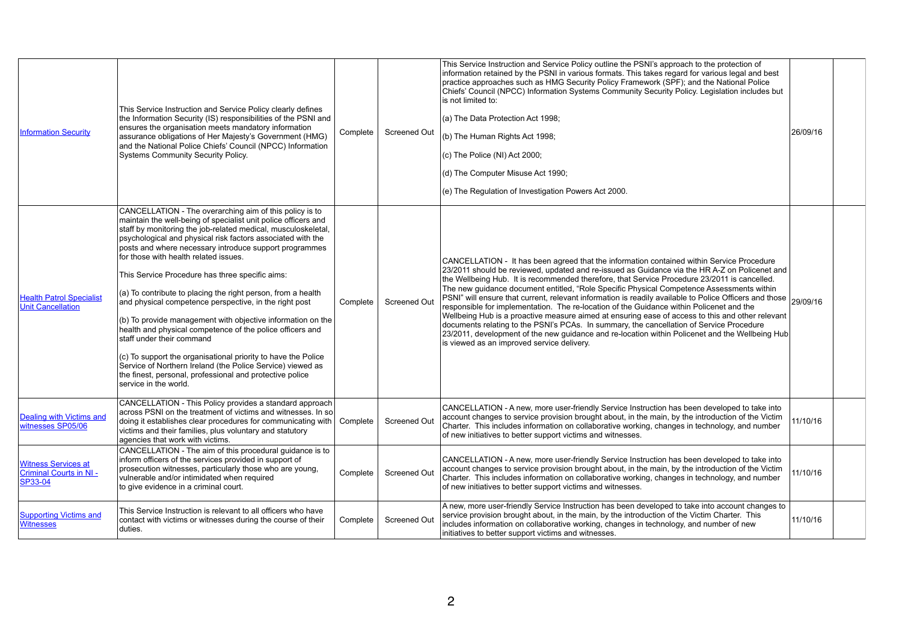| <b>Information Security</b>                                            | This Service Instruction and Service Policy clearly defines<br>the Information Security (IS) responsibilities of the PSNI and<br>ensures the organisation meets mandatory information<br>assurance obligations of Her Majesty's Government (HMG)<br>and the National Police Chiefs' Council (NPCC) Information<br><b>Systems Community Security Policy.</b>                                                                                                                                                                                                                                                                                                                                                                                                                                                                                                                                                            | Complete | <b>Screened Out</b> | This Service Instruction and Service<br>information retained by the PSNI in<br>practice approaches such as HMG S<br>Chiefs' Council (NPCC) Information<br>is not limited to:<br>(a) The Data Protection Act 1998;<br>(b) The Human Rights Act 1998;<br>(c) The Police $(NI)$ Act 2000;<br>(d) The Computer Misuse Act 1990;<br>(e) The Regulation of Investigation F                         |
|------------------------------------------------------------------------|------------------------------------------------------------------------------------------------------------------------------------------------------------------------------------------------------------------------------------------------------------------------------------------------------------------------------------------------------------------------------------------------------------------------------------------------------------------------------------------------------------------------------------------------------------------------------------------------------------------------------------------------------------------------------------------------------------------------------------------------------------------------------------------------------------------------------------------------------------------------------------------------------------------------|----------|---------------------|----------------------------------------------------------------------------------------------------------------------------------------------------------------------------------------------------------------------------------------------------------------------------------------------------------------------------------------------------------------------------------------------|
| <b>Health Patrol Specialist</b><br><b>Unit Cancellation</b>            | CANCELLATION - The overarching aim of this policy is to<br>maintain the well-being of specialist unit police officers and<br>staff by monitoring the job-related medical, musculoskeletal,<br>psychological and physical risk factors associated with the<br>posts and where necessary introduce support programmes<br>for those with health related issues.<br>This Service Procedure has three specific aims:<br>(a) To contribute to placing the right person, from a health<br>and physical competence perspective, in the right post<br>(b) To provide management with objective information on the<br>health and physical competence of the police officers and<br>staff under their command<br>(c) To support the organisational priority to have the Police<br>Service of Northern Ireland (the Police Service) viewed as<br>the finest, personal, professional and protective police<br>service in the world. | Complete | <b>Screened Out</b> | CANCELLATION - It has been agre<br>23/2011 should be reviewed, update<br>the Wellbeing Hub. It is recommend<br>The new guidance document entitled<br>PSNI" will ensure that current, releva<br>responsible for implementation. The<br>Wellbeing Hub is a proactive measu<br>documents relating to the PSNI's PC<br>23/2011, development of the new gu<br>is viewed as an improved service de |
| <b>Dealing with Victims and</b><br>witnesses SP05/06                   | CANCELLATION - This Policy provides a standard approach<br>across PSNI on the treatment of victims and witnesses. In so<br>doing it establishes clear procedures for communicating with<br>victims and their families, plus voluntary and statutory<br>agencies that work with victims.                                                                                                                                                                                                                                                                                                                                                                                                                                                                                                                                                                                                                                | Complete | <b>Screened Out</b> | <b>CANCELLATION - A new, more user</b><br>account changes to service provision<br>Charter. This includes information o<br>of new initiatives to better support vie                                                                                                                                                                                                                           |
| <b>Witness Services at</b><br><b>Criminal Courts in NI-</b><br>SP33-04 | CANCELLATION - The aim of this procedural guidance is to<br>inform officers of the services provided in support of<br>prosecution witnesses, particularly those who are young,<br>vulnerable and/or intimidated when required<br>to give evidence in a criminal court.                                                                                                                                                                                                                                                                                                                                                                                                                                                                                                                                                                                                                                                 | Complete | <b>Screened Out</b> | <b>CANCELLATION - A new, more user</b><br>account changes to service provision<br>Charter. This includes information o<br>of new initiatives to better support vie                                                                                                                                                                                                                           |
| <b>Supporting Victims and</b><br><b>Witnesses</b>                      | This Service Instruction is relevant to all officers who have<br>contact with victims or witnesses during the course of their<br>duties.                                                                                                                                                                                                                                                                                                                                                                                                                                                                                                                                                                                                                                                                                                                                                                               | Complete | <b>Screened Out</b> | A new, more user-friendly Service In<br>service provision brought about, in the<br>includes information on collaborative<br>initiatives to better support victims and                                                                                                                                                                                                                        |

| This Service Instruction and Service Policy outline the PSNI's approach to the protection of<br>information retained by the PSNI in various formats. This takes regard for various legal and best<br>practice approaches such as HMG Security Policy Framework (SPF); and the National Police<br>Chiefs' Council (NPCC) Information Systems Community Security Policy. Legislation includes but<br>is not limited to:<br>(a) The Data Protection Act 1998;<br>(b) The Human Rights Act 1998;<br>(c) The Police (NI) Act 2000;<br>(d) The Computer Misuse Act 1990;<br>(e) The Regulation of Investigation Powers Act 2000.                                                                                                                                                                                                                                                                                                                     | 26/09/16 |  |
|------------------------------------------------------------------------------------------------------------------------------------------------------------------------------------------------------------------------------------------------------------------------------------------------------------------------------------------------------------------------------------------------------------------------------------------------------------------------------------------------------------------------------------------------------------------------------------------------------------------------------------------------------------------------------------------------------------------------------------------------------------------------------------------------------------------------------------------------------------------------------------------------------------------------------------------------|----------|--|
| CANCELLATION - It has been agreed that the information contained within Service Procedure<br>23/2011 should be reviewed, updated and re-issued as Guidance via the HR A-Z on Policenet and<br>the Wellbeing Hub. It is recommended therefore, that Service Procedure 23/2011 is cancelled.<br>The new guidance document entitled, "Role Specific Physical Competence Assessments within<br>PSNI" will ensure that current, relevant information is readily available to Police Officers and those<br>responsible for implementation. The re-location of the Guidance within Policenet and the<br>Wellbeing Hub is a proactive measure aimed at ensuring ease of access to this and other relevant<br>documents relating to the PSNI's PCAs. In summary, the cancellation of Service Procedure<br>23/2011, development of the new guidance and re-location within Policenet and the Wellbeing Hub<br>is viewed as an improved service delivery. | 29/09/16 |  |
| CANCELLATION - A new, more user-friendly Service Instruction has been developed to take into<br>account changes to service provision brought about, in the main, by the introduction of the Victim<br>Charter. This includes information on collaborative working, changes in technology, and number<br>of new initiatives to better support victims and witnesses.                                                                                                                                                                                                                                                                                                                                                                                                                                                                                                                                                                            | 11/10/16 |  |
| CANCELLATION - A new, more user-friendly Service Instruction has been developed to take into<br>account changes to service provision brought about, in the main, by the introduction of the Victim<br>Charter. This includes information on collaborative working, changes in technology, and number<br>of new initiatives to better support victims and witnesses.                                                                                                                                                                                                                                                                                                                                                                                                                                                                                                                                                                            | 11/10/16 |  |
| A new, more user-friendly Service Instruction has been developed to take into account changes to<br>service provision brought about, in the main, by the introduction of the Victim Charter. This<br>includes information on collaborative working, changes in technology, and number of new<br>initiatives to better support victims and witnesses.                                                                                                                                                                                                                                                                                                                                                                                                                                                                                                                                                                                           | 11/10/16 |  |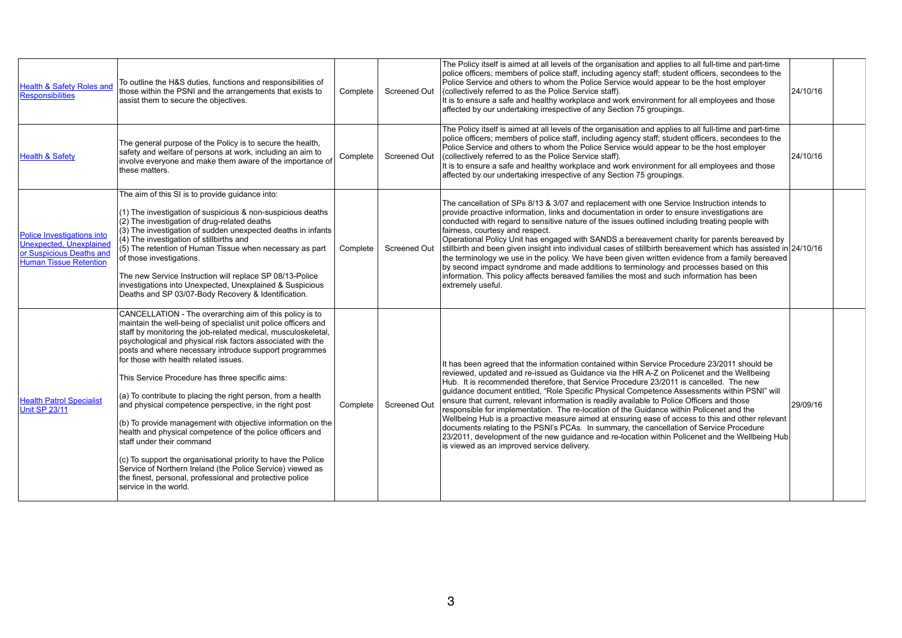| <b>Health &amp; Safety Roles and</b><br><b>Responsibilities</b>                                                           | To outline the H&S duties, functions and responsibilities of<br>those within the PSNI and the arrangements that exists to<br>assist them to secure the objectives.                                                                                                                                                                                                                                                                                                                                                                                                                                                                                                                                                                                                                                                                                                                                                     | Complete | <b>Screened Out</b> | The Policy itself is aimed at all I<br>police officers; members of poli<br>Police Service and others to wh<br>(collectively referred to as the F<br>It is to ensure a safe and health<br>affected by our undertaking irre                                                                                                                               |
|---------------------------------------------------------------------------------------------------------------------------|------------------------------------------------------------------------------------------------------------------------------------------------------------------------------------------------------------------------------------------------------------------------------------------------------------------------------------------------------------------------------------------------------------------------------------------------------------------------------------------------------------------------------------------------------------------------------------------------------------------------------------------------------------------------------------------------------------------------------------------------------------------------------------------------------------------------------------------------------------------------------------------------------------------------|----------|---------------------|---------------------------------------------------------------------------------------------------------------------------------------------------------------------------------------------------------------------------------------------------------------------------------------------------------------------------------------------------------|
| <b>Health &amp; Safety</b>                                                                                                | The general purpose of the Policy is to secure the health,<br>safety and welfare of persons at work, including an aim to<br>involve everyone and make them aware of the importance of<br>these matters.                                                                                                                                                                                                                                                                                                                                                                                                                                                                                                                                                                                                                                                                                                                | Complete | <b>Screened Out</b> | The Policy itself is aimed at all I<br>police officers; members of poli<br>Police Service and others to wh<br>(collectively referred to as the F<br>It is to ensure a safe and health<br>affected by our undertaking irre                                                                                                                               |
| Police Investigations into<br><b>Unexpected, Unexplained</b><br>or Suspicious Deaths and<br><b>Human Tissue Retention</b> | The aim of this SI is to provide guidance into:<br>(1) The investigation of suspicious & non-suspicious deaths<br>(2) The investigation of drug-related deaths<br>(3) The investigation of sudden unexpected deaths in infants<br>(4) The investigation of stillbirths and<br>(5) The retention of Human Tissue when necessary as part<br>of those investigations.<br>The new Service Instruction will replace SP 08/13-Police<br>investigations into Unexpected, Unexplained & Suspicious<br>Deaths and SP 03/07-Body Recovery & Identification.                                                                                                                                                                                                                                                                                                                                                                      | Complete | <b>Screened Out</b> | The cancellation of SPs 8/13 &<br>provide proactive information, li<br>conducted with regard to sensit<br>fairness, courtesy and respect.<br><b>Operational Policy Unit has eng</b><br>stillbirth and been given insight<br>the terminology we use in the p<br>by second impact syndrome an<br>information. This policy affects I<br>extremely useful.  |
| <b>Health Patrol Specialist</b><br><b>Unit SP 23/11</b>                                                                   | CANCELLATION - The overarching aim of this policy is to<br>maintain the well-being of specialist unit police officers and<br>staff by monitoring the job-related medical, musculoskeletal,<br>psychological and physical risk factors associated with the<br>posts and where necessary introduce support programmes<br>for those with health related issues.<br>This Service Procedure has three specific aims:<br>(a) To contribute to placing the right person, from a health<br>and physical competence perspective, in the right post<br>(b) To provide management with objective information on the<br>health and physical competence of the police officers and<br>staff under their command<br>(c) To support the organisational priority to have the Police<br>Service of Northern Ireland (the Police Service) viewed as<br>the finest, personal, professional and protective police<br>service in the world. | Complete | <b>Screened Out</b> | It has been agreed that the info<br>reviewed, updated and re-issue<br>Hub. It is recommended theref<br>guidance document entitled, "R<br>ensure that current, relevant inf<br>responsible for implementation.<br>Wellbeing Hub is a proactive me<br>documents relating to the PSNI<br>23/2011, development of the ne<br>is viewed as an improved servic |

| The Policy itself is aimed at all levels of the organisation and applies to all full-time and part-time<br>police officers; members of police staff, including agency staff; student officers, secondees to the<br>Police Service and others to whom the Police Service would appear to be the host employer<br>(collectively referred to as the Police Service staff).<br>It is to ensure a safe and healthy workplace and work environment for all employees and those<br>affected by our undertaking irrespective of any Section 75 groupings.                                                                                                                                                                                                                                                                                                                                                                               | 24/10/16 |  |
|---------------------------------------------------------------------------------------------------------------------------------------------------------------------------------------------------------------------------------------------------------------------------------------------------------------------------------------------------------------------------------------------------------------------------------------------------------------------------------------------------------------------------------------------------------------------------------------------------------------------------------------------------------------------------------------------------------------------------------------------------------------------------------------------------------------------------------------------------------------------------------------------------------------------------------|----------|--|
| The Policy itself is aimed at all levels of the organisation and applies to all full-time and part-time<br>police officers; members of police staff, including agency staff; student officers, secondees to the<br>Police Service and others to whom the Police Service would appear to be the host employer<br>(collectively referred to as the Police Service staff).<br>It is to ensure a safe and healthy workplace and work environment for all employees and those<br>affected by our undertaking irrespective of any Section 75 groupings.                                                                                                                                                                                                                                                                                                                                                                               | 24/10/16 |  |
| The cancellation of SPs 8/13 & 3/07 and replacement with one Service Instruction intends to<br>provide proactive information, links and documentation in order to ensure investigations are<br>conducted with regard to sensitive nature of the issues outlined including treating people with<br>fairness, courtesy and respect.<br>Operational Policy Unit has engaged with SANDS a bereavement charity for parents bereaved by<br>stillbirth and been given insight into individual cases of stillbirth bereavement which has assisted in 24/10/16<br>the terminology we use in the policy. We have been given written evidence from a family bereaved<br>by second impact syndrome and made additions to terminology and processes based on this<br>information. This policy affects bereaved families the most and such information has been<br>extremely useful.                                                          |          |  |
| It has been agreed that the information contained within Service Procedure 23/2011 should be<br>reviewed, updated and re-issued as Guidance via the HR A-Z on Policenet and the Wellbeing<br>Hub. It is recommended therefore, that Service Procedure 23/2011 is cancelled. The new<br>guidance document entitled, "Role Specific Physical Competence Assessments within PSNI" will<br>ensure that current, relevant information is readily available to Police Officers and those<br>responsible for implementation. The re-location of the Guidance within Policenet and the<br>Wellbeing Hub is a proactive measure aimed at ensuring ease of access to this and other relevant<br>documents relating to the PSNI's PCAs. In summary, the cancellation of Service Procedure<br>23/2011, development of the new guidance and re-location within Policenet and the Wellbeing Hub<br>is viewed as an improved service delivery. | 29/09/16 |  |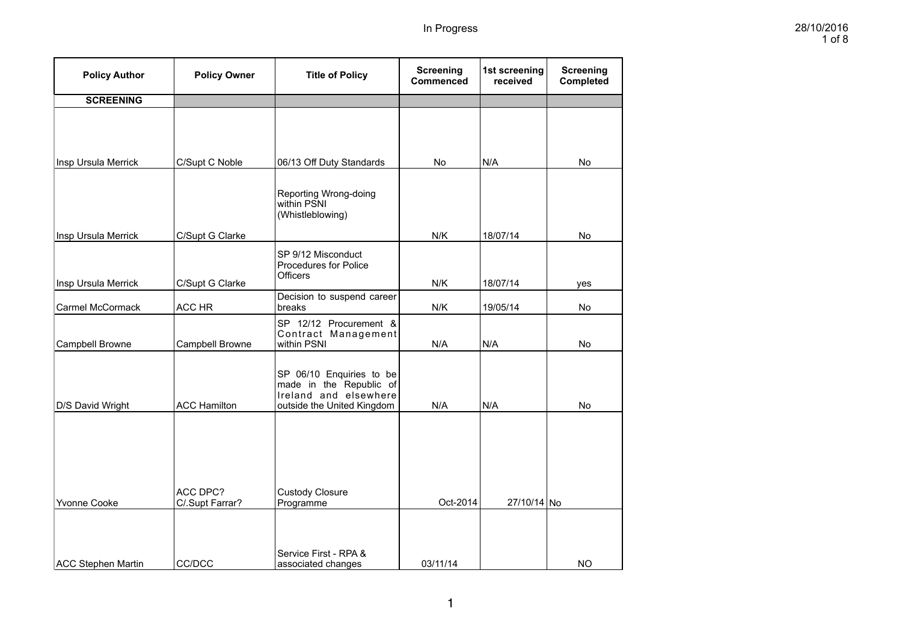| <b>Policy Author</b>      | <b>Policy Owner</b>         | <b>Title of Policy</b>                                                                                     | <b>Screening</b><br>Commenced | 1st screening<br>received | <b>Screening</b><br><b>Completed</b> |
|---------------------------|-----------------------------|------------------------------------------------------------------------------------------------------------|-------------------------------|---------------------------|--------------------------------------|
| <b>SCREENING</b>          |                             |                                                                                                            |                               |                           |                                      |
|                           |                             |                                                                                                            |                               |                           |                                      |
| Insp Ursula Merrick       | C/Supt C Noble              | 06/13 Off Duty Standards                                                                                   | No                            | N/A                       | No                                   |
|                           |                             | Reporting Wrong-doing<br>within PSNI<br>(Whistleblowing)                                                   |                               |                           |                                      |
| Insp Ursula Merrick       | C/Supt G Clarke             |                                                                                                            | N/K                           | 18/07/14                  | No                                   |
| Insp Ursula Merrick       | C/Supt G Clarke             | SP 9/12 Misconduct<br><b>Procedures for Police</b><br><b>Officers</b>                                      | N/K                           | 18/07/14                  | yes                                  |
| <b>Carmel McCormack</b>   | ACC HR                      | Decision to suspend career<br>breaks                                                                       | N/K                           | 19/05/14                  | No                                   |
| Campbell Browne           | Campbell Browne             | SP 12/12 Procurement &<br>Contract Management<br>within PSNI                                               | N/A                           | N/A                       | No                                   |
| D/S David Wright          | <b>ACC Hamilton</b>         | SP 06/10 Enquiries to be<br>made in the Republic of<br>Ireland and elsewhere<br>outside the United Kingdom | N/A                           | N/A                       | No                                   |
| Yvonne Cooke              | ACC DPC?<br>C/.Supt Farrar? | <b>Custody Closure</b><br>Programme                                                                        | Oct-2014                      | 27/10/14 No               |                                      |
| <b>ACC Stephen Martin</b> | CC/DCC                      | Service First - RPA &<br>associated changes                                                                | 03/11/14                      |                           | <b>NO</b>                            |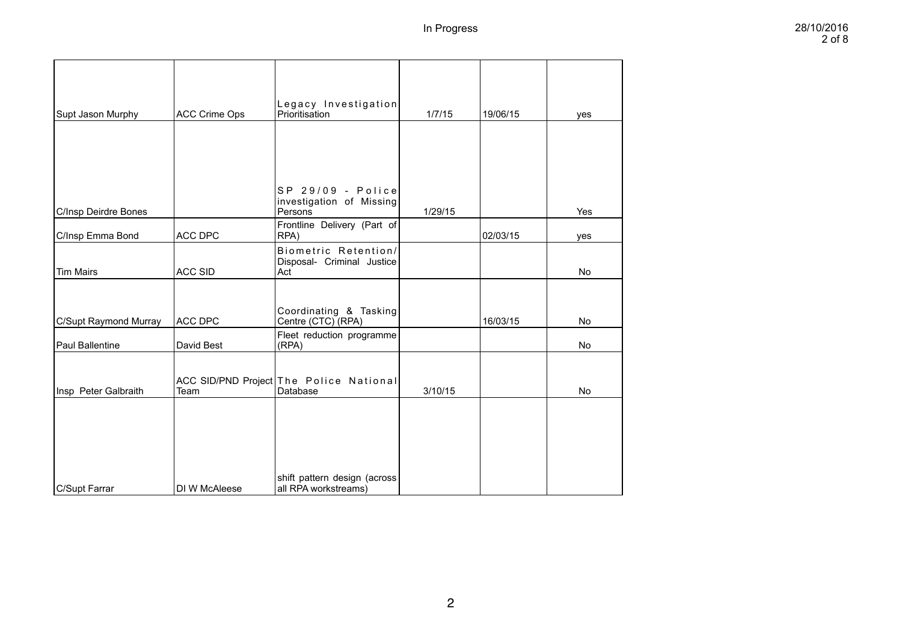| Supt Jason Murphy     | <b>ACC Crime Ops</b> | Legacy Investigation<br>Prioritisation                    | 1/7/15  | 19/06/15 | yes       |
|-----------------------|----------------------|-----------------------------------------------------------|---------|----------|-----------|
|                       |                      |                                                           |         |          |           |
|                       |                      |                                                           |         |          |           |
| C/Insp Deirdre Bones  |                      | SP 29/09 - Police<br>investigation of Missing<br>Persons  | 1/29/15 |          | Yes       |
| C/Insp Emma Bond      | <b>ACC DPC</b>       | Frontline Delivery (Part of<br>RPA)                       |         | 02/03/15 | yes       |
| <b>Tim Mairs</b>      | <b>ACC SID</b>       | Biometric Retention/<br>Disposal- Criminal Justice<br>Act |         |          | No        |
|                       |                      |                                                           |         |          |           |
| C/Supt Raymond Murray | <b>ACC DPC</b>       | Coordinating & Tasking<br>Centre (CTC) (RPA)              |         | 16/03/15 | <b>No</b> |
| Paul Ballentine       | David Best           | Fleet reduction programme<br>(RPA)                        |         |          | <b>No</b> |
| Insp Peter Galbraith  | Team                 | ACC SID/PND Project The Police National<br>Database       | 3/10/15 |          | <b>No</b> |
|                       |                      |                                                           |         |          |           |
|                       |                      |                                                           |         |          |           |
|                       |                      |                                                           |         |          |           |
| C/Supt Farrar         | DI W McAleese        | shift pattern design (across<br>all RPA workstreams)      |         |          |           |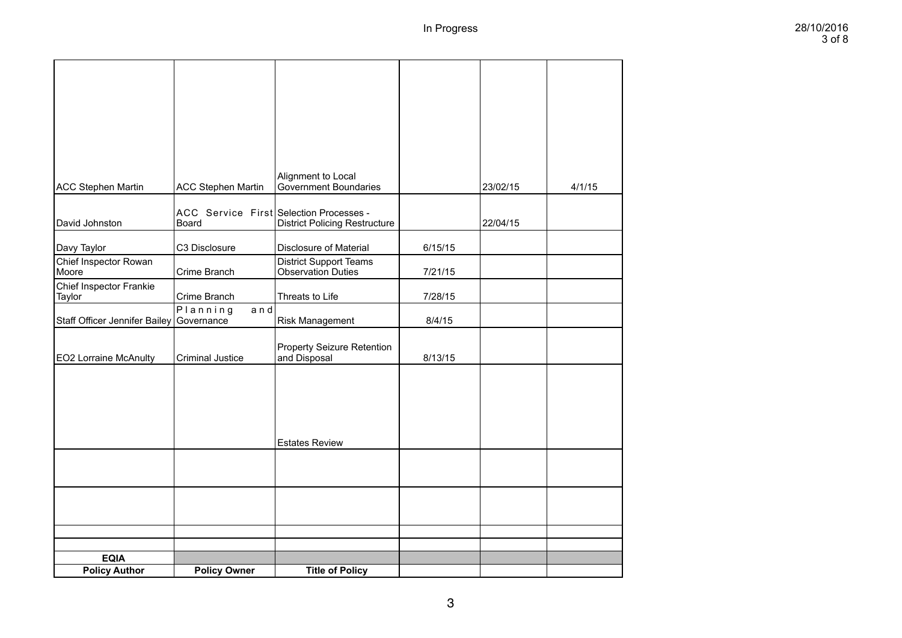| <b>ACC Stephen Martin</b>         | <b>ACC Stephen Martin</b>                        | Alignment to Local<br>Government Boundaries                |         | 23/02/15 | 4/1/15 |
|-----------------------------------|--------------------------------------------------|------------------------------------------------------------|---------|----------|--------|
| David Johnston                    | ACC Service First Selection Processes -<br>Board | <b>District Policing Restructure</b>                       |         | 22/04/15 |        |
| Davy Taylor                       | C3 Disclosure                                    | <b>Disclosure of Material</b>                              | 6/15/15 |          |        |
| Chief Inspector Rowan<br>Moore    | Crime Branch                                     | <b>District Support Teams</b><br><b>Observation Duties</b> | 7/21/15 |          |        |
| Chief Inspector Frankie<br>Taylor | Crime Branch                                     | Threats to Life                                            | 7/28/15 |          |        |
| Staff Officer Jennifer Bailey     | Planning<br>$a \nmid d$<br>Governance            | <b>Risk Management</b>                                     | 8/4/15  |          |        |
| <b>EO2 Lorraine McAnulty</b>      | <b>Criminal Justice</b>                          | <b>Property Seizure Retention</b><br>and Disposal          | 8/13/15 |          |        |
|                                   |                                                  |                                                            |         |          |        |
|                                   |                                                  |                                                            |         |          |        |
|                                   |                                                  |                                                            |         |          |        |
|                                   |                                                  | <b>Estates Review</b>                                      |         |          |        |
|                                   |                                                  |                                                            |         |          |        |
|                                   |                                                  |                                                            |         |          |        |
|                                   |                                                  |                                                            |         |          |        |
|                                   |                                                  |                                                            |         |          |        |
| <b>EQIA</b>                       |                                                  |                                                            |         |          |        |
| <b>Policy Author</b>              | <b>Policy Owner</b>                              | <b>Title of Policy</b>                                     |         |          |        |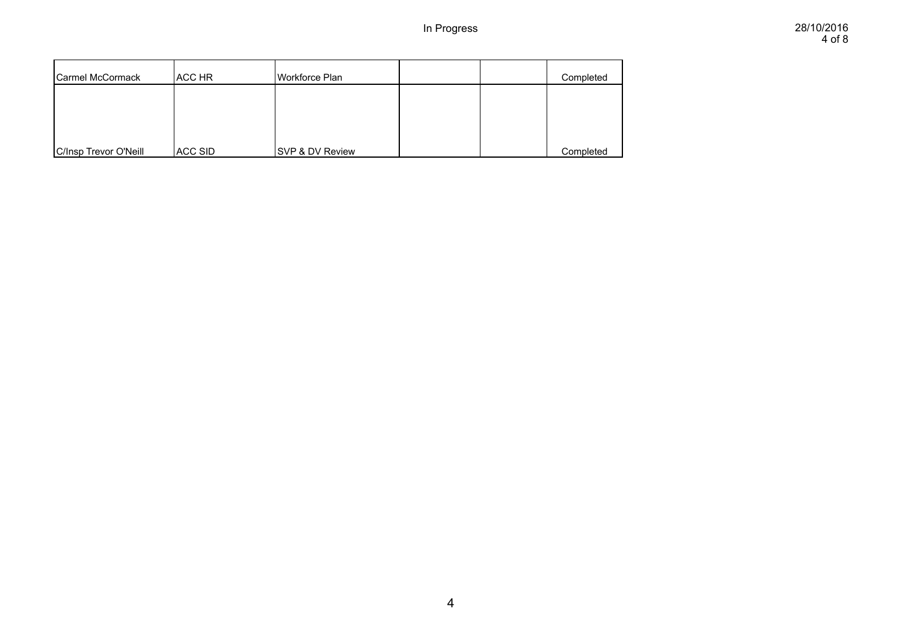| Carmel McCormack      | ACC HR  | Workforce Plan             |  | Completed |
|-----------------------|---------|----------------------------|--|-----------|
|                       |         |                            |  |           |
|                       |         |                            |  |           |
| C/Insp Trevor O'Neill | ACC SID | <b>SVP &amp; DV Review</b> |  | Completed |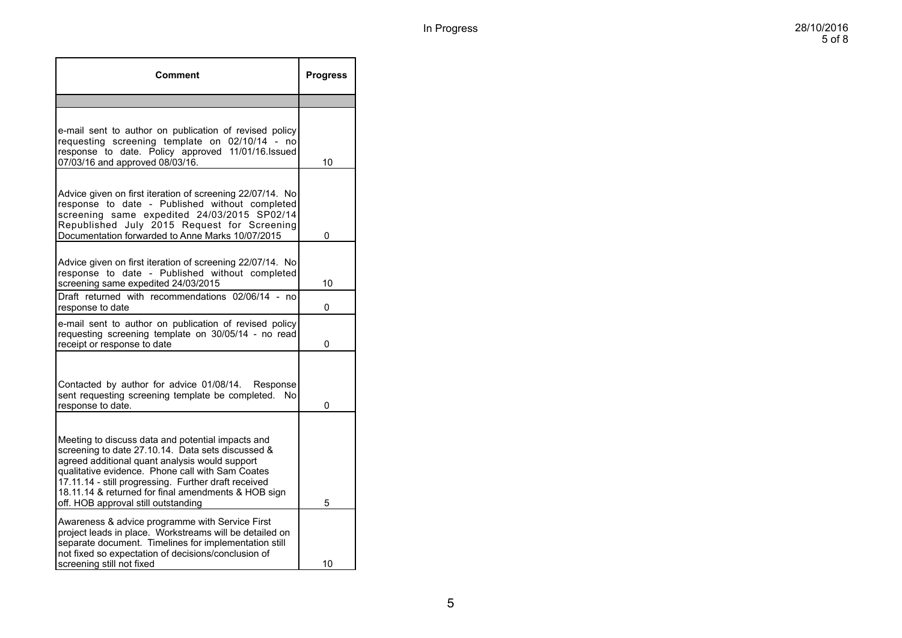| Comment                                                                                                                                                                                                                                                                                                                                                            | <b>Progress</b> |
|--------------------------------------------------------------------------------------------------------------------------------------------------------------------------------------------------------------------------------------------------------------------------------------------------------------------------------------------------------------------|-----------------|
|                                                                                                                                                                                                                                                                                                                                                                    |                 |
| e-mail sent to author on publication of revised policy<br>requesting screening template on 02/10/14 - no<br>response to date. Policy approved 11/01/16.Issued<br>07/03/16 and approved 08/03/16.                                                                                                                                                                   | 10              |
| Advice given on first iteration of screening 22/07/14. No<br>response to date - Published without completed<br>screening same expedited 24/03/2015 SP02/14<br>Republished July 2015 Request for Screening<br>Documentation forwarded to Anne Marks 10/07/2015                                                                                                      | 0               |
| Advice given on first iteration of screening 22/07/14. No<br>response to date - Published without completed<br>screening same expedited 24/03/2015<br>Draft returned with recommendations 02/06/14 - no                                                                                                                                                            | 10              |
| response to date                                                                                                                                                                                                                                                                                                                                                   | 0               |
| e-mail sent to author on publication of revised policy<br>requesting screening template on 30/05/14 - no read<br>receipt or response to date                                                                                                                                                                                                                       | 0               |
| Contacted by author for advice 01/08/14.<br>Response<br>sent requesting screening template be completed.<br>No<br>response to date.                                                                                                                                                                                                                                | 0               |
| Meeting to discuss data and potential impacts and<br>screening to date 27.10.14. Data sets discussed &<br>agreed additional quant analysis would support<br>qualitative evidence. Phone call with Sam Coates<br>17.11.14 - still progressing. Further draft received<br>18.11.14 & returned for final amendments & HOB sign<br>off. HOB approval still outstanding | 5               |
| Awareness & advice programme with Service First<br>project leads in place. Workstreams will be detailed on<br>separate document. Timelines for implementation still<br>not fixed so expectation of decisions/conclusion of<br>screening still not fixed                                                                                                            | 10              |
|                                                                                                                                                                                                                                                                                                                                                                    |                 |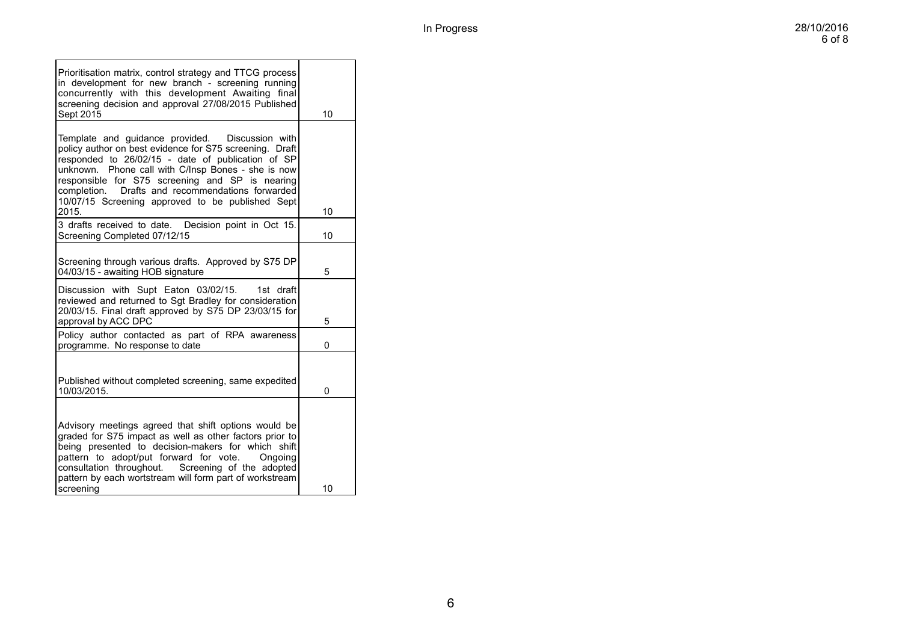| Prioritisation matrix, control strategy and TTCG process<br>in development for new branch - screening running<br>concurrently with this development Awaiting final<br>screening decision and approval 27/08/2015 Published<br>Sept 2015                                                                                                                                                       | 10 |
|-----------------------------------------------------------------------------------------------------------------------------------------------------------------------------------------------------------------------------------------------------------------------------------------------------------------------------------------------------------------------------------------------|----|
| Template and guidance provided.  Discussion with<br>policy author on best evidence for S75 screening. Draft<br>responded to 26/02/15 - date of publication of SP<br>unknown. Phone call with C/Insp Bones - she is now<br>responsible for S75 screening and SP is nearing<br>Drafts and recommendations forwarded<br>completion.<br>10/07/15 Screening approved to be published Sept<br>2015. | 10 |
| 3 drafts received to date.<br>Decision point in Oct 15.<br>Screening Completed 07/12/15                                                                                                                                                                                                                                                                                                       | 10 |
| Screening through various drafts. Approved by S75 DP<br>04/03/15 - awaiting HOB signature                                                                                                                                                                                                                                                                                                     | 5  |
| Discussion with Supt Eaton 03/02/15.<br>1st draft<br>reviewed and returned to Sgt Bradley for consideration<br>20/03/15. Final draft approved by S75 DP 23/03/15 for<br>approval by ACC DPC                                                                                                                                                                                                   | 5  |
| Policy author contacted as part of RPA awareness<br>programme. No response to date                                                                                                                                                                                                                                                                                                            | 0  |
| Published without completed screening, same expedited<br>10/03/2015.                                                                                                                                                                                                                                                                                                                          | 0  |
| Advisory meetings agreed that shift options would be<br>graded for S75 impact as well as other factors prior to<br>being presented to decision-makers for which shift<br>pattern to adopt/put forward for vote.<br>Ongoing<br>consultation throughout. Screening of the adopted<br>pattern by each wortstream will form part of workstream<br>screening                                       | 10 |